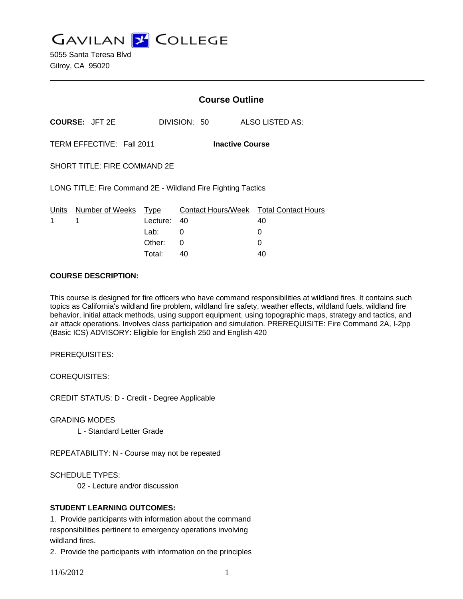**GAVILAN Z COLLEGE** 

5055 Santa Teresa Blvd Gilroy, CA 95020

|                                                     |                                                              | <b>Course Outline</b> |              |                                              |
|-----------------------------------------------------|--------------------------------------------------------------|-----------------------|--------------|----------------------------------------------|
|                                                     | <b>COURSE: JFT 2E</b>                                        |                       | DIVISION: 50 | ALSO LISTED AS:                              |
| TERM EFFECTIVE: Fall 2011<br><b>Inactive Course</b> |                                                              |                       |              |                                              |
|                                                     | <b>SHORT TITLE: FIRE COMMAND 2E</b>                          |                       |              |                                              |
|                                                     | LONG TITLE: Fire Command 2E - Wildland Fire Fighting Tactics |                       |              |                                              |
| <u>Un</u> its<br>1                                  | Number of Weeks Type<br>1                                    | Lecture:              | 40           | Contact Hours/Week Total Contact Hours<br>40 |
|                                                     |                                                              | Lab: __               | 0            | 0                                            |
|                                                     |                                                              | Other:                | 0            | 0                                            |
|                                                     |                                                              | Total:                | 40           | 40                                           |

#### **COURSE DESCRIPTION:**

This course is designed for fire officers who have command responsibilities at wildland fires. It contains such topics as California's wildland fire problem, wildland fire safety, weather effects, wildland fuels, wildland fire behavior, initial attack methods, using support equipment, using topographic maps, strategy and tactics, and air attack operations. Involves class participation and simulation. PREREQUISITE: Fire Command 2A, I-2pp (Basic ICS) ADVISORY: Eligible for English 250 and English 420

PREREQUISITES:

COREQUISITES:

CREDIT STATUS: D - Credit - Degree Applicable

GRADING MODES

L - Standard Letter Grade

REPEATABILITY: N - Course may not be repeated

SCHEDULE TYPES:

02 - Lecture and/or discussion

## **STUDENT LEARNING OUTCOMES:**

1. Provide participants with information about the command responsibilities pertinent to emergency operations involving wildland fires.

2. Provide the participants with information on the principles

11/6/2012 1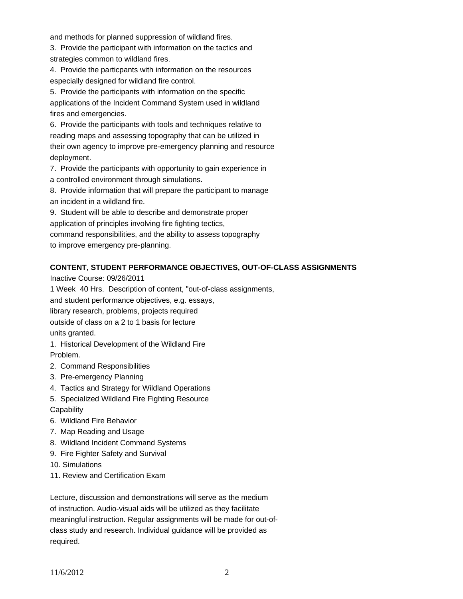and methods for planned suppression of wildland fires.

3. Provide the participant with information on the tactics and strategies common to wildland fires.

4. Provide the particpants with information on the resources especially designed for wildland fire control.

5. Provide the participants with information on the specific applications of the Incident Command System used in wildland fires and emergencies.

6. Provide the participants with tools and techniques relative to reading maps and assessing topography that can be utilized in their own agency to improve pre-emergency planning and resource deployment.

7. Provide the participants with opportunity to gain experience in a controlled environment through simulations.

8. Provide information that will prepare the participant to manage an incident in a wildland fire.

9. Student will be able to describe and demonstrate proper application of principles involving fire fighting tectics, command responsibilities, and the ability to assess topography to improve emergency pre-planning.

# **CONTENT, STUDENT PERFORMANCE OBJECTIVES, OUT-OF-CLASS ASSIGNMENTS**

Inactive Course: 09/26/2011

1 Week 40 Hrs. Description of content, "out-of-class assignments,

and student performance objectives, e.g. essays,

library research, problems, projects required

outside of class on a 2 to 1 basis for lecture units granted.

1. Historical Development of the Wildland Fire Problem.

- 2. Command Responsibilities
- 3. Pre-emergency Planning
- 4. Tactics and Strategy for Wildland Operations
- 5. Specialized Wildland Fire Fighting Resource
- **Capability**
- 6. Wildland Fire Behavior
- 7. Map Reading and Usage
- 8. Wildland Incident Command Systems
- 9. Fire Fighter Safety and Survival
- 10. Simulations
- 11. Review and Certification Exam

Lecture, discussion and demonstrations will serve as the medium of instruction. Audio-visual aids will be utilized as they facilitate meaningful instruction. Regular assignments will be made for out-ofclass study and research. Individual guidance will be provided as required.